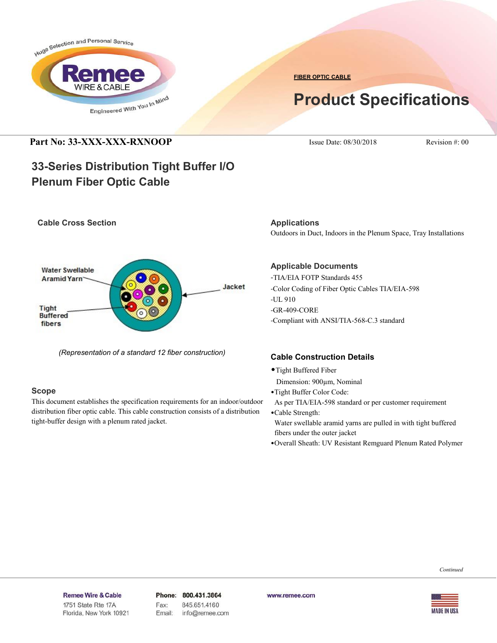

**FIBER OPTIC CABLE**

# **Product Specifications**

## **Part No: 33-XXX-XXX-RXNOOP** Issue Date: 08/30/2018 Revision #: 00

**Cable Cross Section**

## **33-Series Distribution Tight Buffer I/O Plenum Fiber Optic Cable**



*(Representation of a standard 12 fiber construction)*

## **Scope**

This document establishes the specification requirements for an indoor/outdoor distribution fiber optic cable. This cable construction consists of a distribution tight-buffer design with a plenum rated jacket.

**Applications** Outdoors in Duct, Indoors in the Plenum Space, Tray Installations

## **Applicable Documents**

-TIA/EIA FOTP Standards 455 -Color Coding of Fiber Optic Cables TIA/EIA-598 -UL 910 -GR-409-CORE -Compliant with ANSI/TIA-568-C.3 standard

## **Cable Construction Details**

- •Tight Buffered Fiber
- Dimension: 900µm, Nominal
- •Tight Buffer Color Code:
- As per TIA/EIA-598 standard or per customer requirement
- •Cable Strength: Water swellable aramid yarns are pulled in with tight buffered fibers under the outer jacket
- •Overall Sheath: UV Resistant Remguard Plenum Rated Polymer

Remee Wire & Cable Issue No.: 05

Florida, New York 10921

Phone: 800.431.3864 Fax: 845.651.4160 Email: info@remee.com www.remee.com

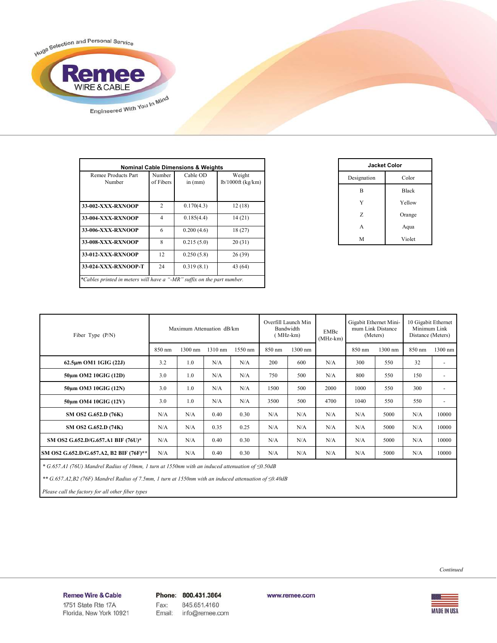

| Remee Products Part | Number         | Cable OD   | <b>Nominal Cable Dimensions &amp; Weights</b><br>Weight |  |  |
|---------------------|----------------|------------|---------------------------------------------------------|--|--|
| Number              | of Fibers      | in $(mm)$  | $lb/1000ft$ (kg/km)                                     |  |  |
|                     |                |            |                                                         |  |  |
| 33-002-XXX-RXNOOP   | $\overline{2}$ | 0.170(4.3) | 12(18)                                                  |  |  |
| 33-004-XXX-RXNOOP   | $\overline{4}$ | 0.185(4.4) | 14(21)                                                  |  |  |
| 33-006-XXX-RXNOOP   | 6              | 0.200(4.6) | 18(27)                                                  |  |  |
| 33-008-XXX-RXNOOP   | 8              | 0.215(5.0) | 20(31)                                                  |  |  |
| 33-012-XXX-RXNOOP   | 12             | 0.250(5.8) | 26(39)                                                  |  |  |
| 33-024-XXX-RXNOOP-T | 24             | 0.319(8.1) | 43 (64)                                                 |  |  |

| <b>Jacket Color</b> |              |  |  |  |
|---------------------|--------------|--|--|--|
| Designation         | Color        |  |  |  |
| B                   | <b>Black</b> |  |  |  |
| Y                   | Yellow       |  |  |  |
| Z                   | Orange       |  |  |  |
| A                   | Aqua         |  |  |  |
| M                   | Violet       |  |  |  |

| Fiber Type $(P/N)$                      | Maximum Attenuation dB/km |         |         | Overfill Launch Min<br>Bandwidth<br>(MHz-km) |        | EMBc<br>$(MHz-km)$ | Gigabit Ethernet Mini-<br>mum Link Distance<br>(Meters) |        | 10 Gigabit Ethernet<br>Minimum Link<br>Distance (Meters) |        |                          |
|-----------------------------------------|---------------------------|---------|---------|----------------------------------------------|--------|--------------------|---------------------------------------------------------|--------|----------------------------------------------------------|--------|--------------------------|
|                                         | 850 nm                    | 1300 nm | 1310 nm | 1550 nm                                      | 850 nm | 1300 nm            |                                                         | 850 nm | 1300 nm                                                  | 850 nm | $1300$ nm                |
| $62.5\mu m$ OM1 1GIG (22J)              | 3.2                       | 1.0     | N/A     | N/A                                          | 200    | 600                | N/A                                                     | 300    | 550                                                      | 32     | $\overline{\phantom{a}}$ |
| 50um OM2 10GIG (12D)                    | 3.0                       | 1.0     | N/A     | N/A                                          | 750    | 500                | N/A                                                     | 800    | 550                                                      | 150    | $\overline{\phantom{a}}$ |
| 50um OM3 10GIG (12N)                    | 3.0                       | 1.0     | N/A     | N/A                                          | 1500   | 500                | 2000                                                    | 1000   | 550                                                      | 300    | ٠                        |
| 50um OM4 10GIG (12V)                    | 3.0                       | 1.0     | N/A     | N/A                                          | 3500   | 500                | 4700                                                    | 1040   | 550                                                      | 550    | $\overline{\phantom{a}}$ |
| SM OS2 G.652.D (76K)                    | N/A                       | N/A     | 0.40    | 0.30                                         | N/A    | N/A                | N/A                                                     | N/A    | 5000                                                     | N/A    | 10000                    |
| SM OS2 G.652.D (74K)                    | N/A                       | N/A     | 0.35    | 0.25                                         | N/A    | N/A                | N/A                                                     | N/A    | 5000                                                     | N/A    | 10000                    |
| SM OS2 G.652.D/G.657.A1 BIF (76U)*      | N/A                       | N/A     | 0.40    | 0.30                                         | N/A    | N/A                | N/A                                                     | N/A    | 5000                                                     | N/A    | 10000                    |
| SM OS2 G.652.D/G.657.A2, B2 BIF (76F)** | N/A                       | N/A     | 0.40    | 0.30                                         | N/A    | N/A                | N/A                                                     | N/A    | 5000                                                     | N/A    | 10000                    |

 *\* G.657.A1 (76U) Mandrel Radius of 10mm, 1 turn at 1550nm with an induced attenuation of ≤0.50dB*

 *\*\* G.657.A2,B2 (76F) Mandrel Radius of 7.5mm, 1 turn at 1550nm with an induced attenuation of ≤0.40dB*

 *Please call the factory for all other fiber types*



### Remee Wire & Cable Issue No.: 05

Florida, New York 10921

Phone: 800.431.3864 Fax: 845.651.4160 Email: info@remee.com

www.remee.com

**MADE IN USA**